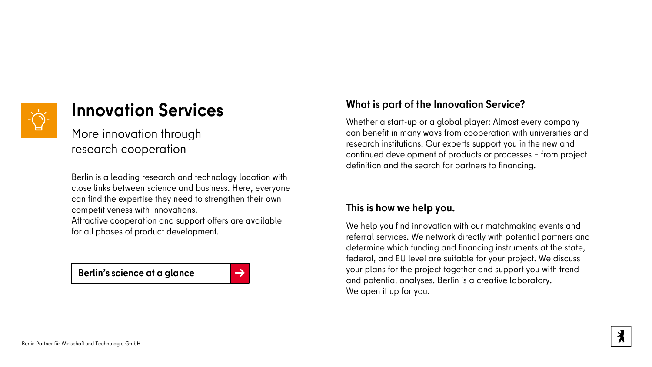

# **Innovation Services**

More innovation through research cooperation

Berlin is a leading research and technology location with close links between science and business. Here, everyone can find the expertise they need to strengthen their own competitiveness with innovations.

Attractive cooperation and support offers are available for all phases of product development.

**[Berlin's science at a glance](https://www.businesslocationcenter.de/wissenschaft/)** [→](https://www.businesslocationcenter.de/wissenschaft/)

## **What is part of the Innovation Service?**

Whether a start-up or a global player: Almost every company can benefit in many ways from cooperation with universities and research institutions. Our experts support you in the new and continued development of products or processes – from project definition and the search for partners to financing.

## **This is how we help you.**

We help you find innovation with our matchmaking events and referral services. We network directly with potential partners and determine which funding and financing instruments at the state, federal, and EU level are suitable for your project. We discuss your plans for the project together and support you with trend and potential analyses. Berlin is a creative laboratory. We open it up for you.